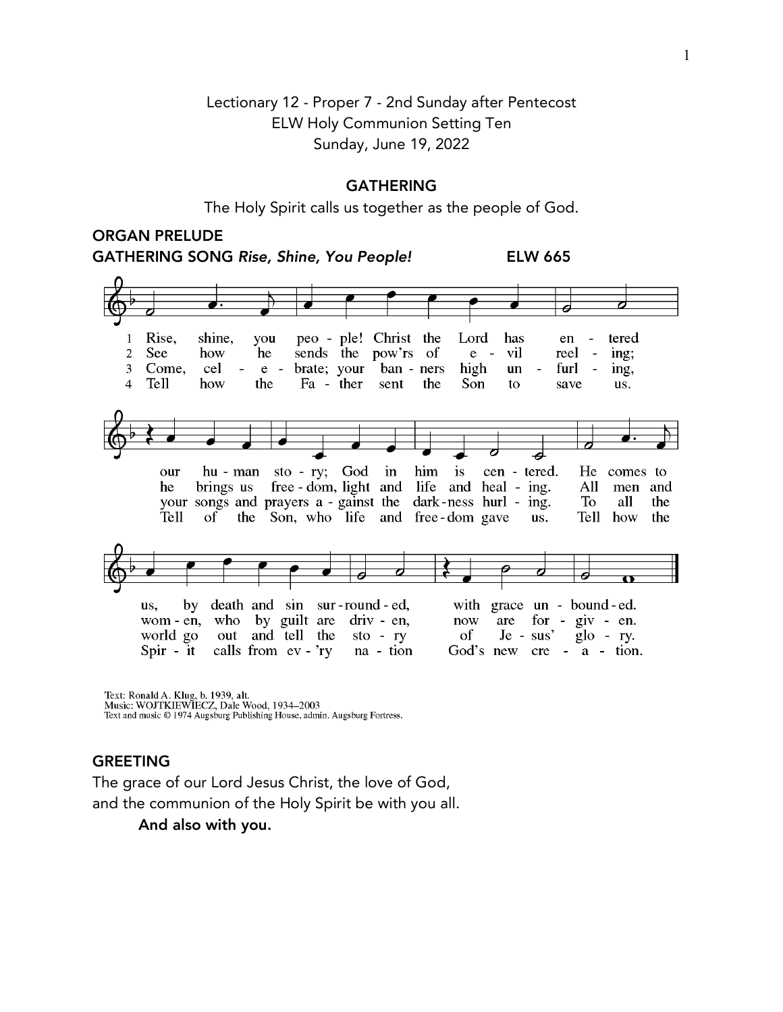# Lectionary 12 - Proper 7 - 2nd Sunday after Pentecost ELW Holy Communion Setting Ten Sunday, June 19, 2022

#### GATHERING

The Holy Spirit calls us together as the people of God.

# ORGAN PRELUDE

GATHERING SONG *Rise, Shine, You People!* ELW 665



Text: Ronald A. Klug, b. 1939, alt.<br>Music: WOJTKIEWIECZ, Dale Wood, 1934–2003

Text and music © 1974 Augsburg Publishing House, admin. Augsburg Fortress.

#### GREETING

The grace of our Lord Jesus Christ, the love of God, and the communion of the Holy Spirit be with you all.

And also with you.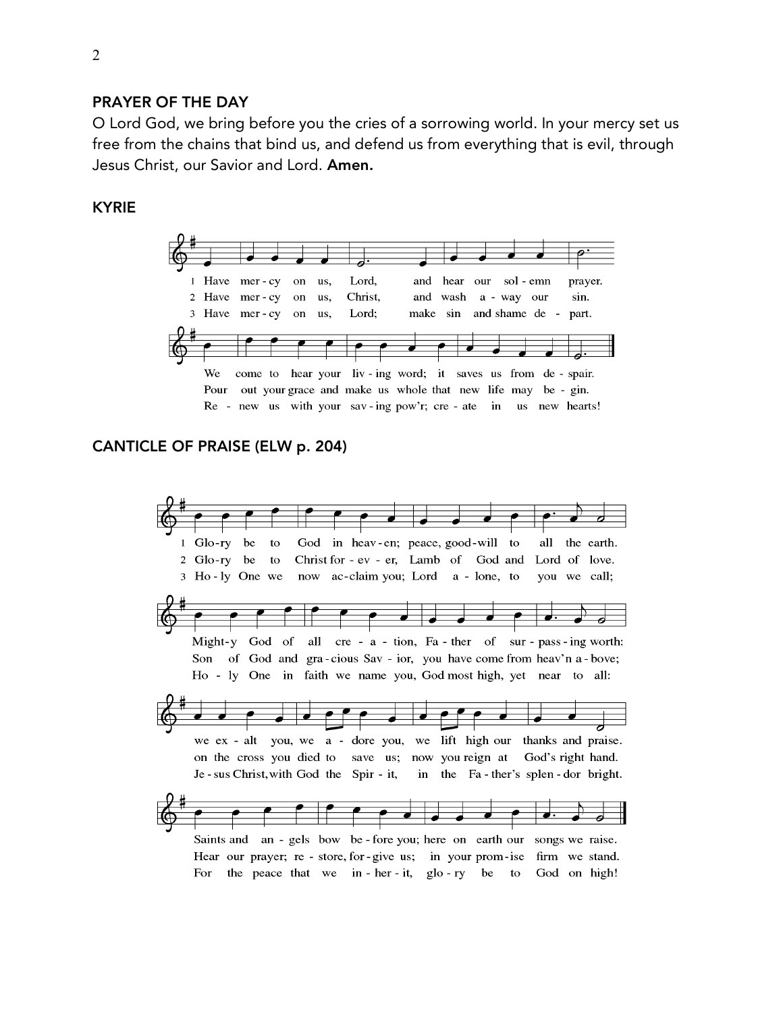### PRAYER OF THE DAY

O Lord God, we bring before you the cries of a sorrowing world. In your mercy set us free from the chains that bind us, and defend us from everything that is evil, through Jesus Christ, our Savior and Lord. Amen.

### KYRIE



### CANTICLE OF PRAISE (ELW p. 204)

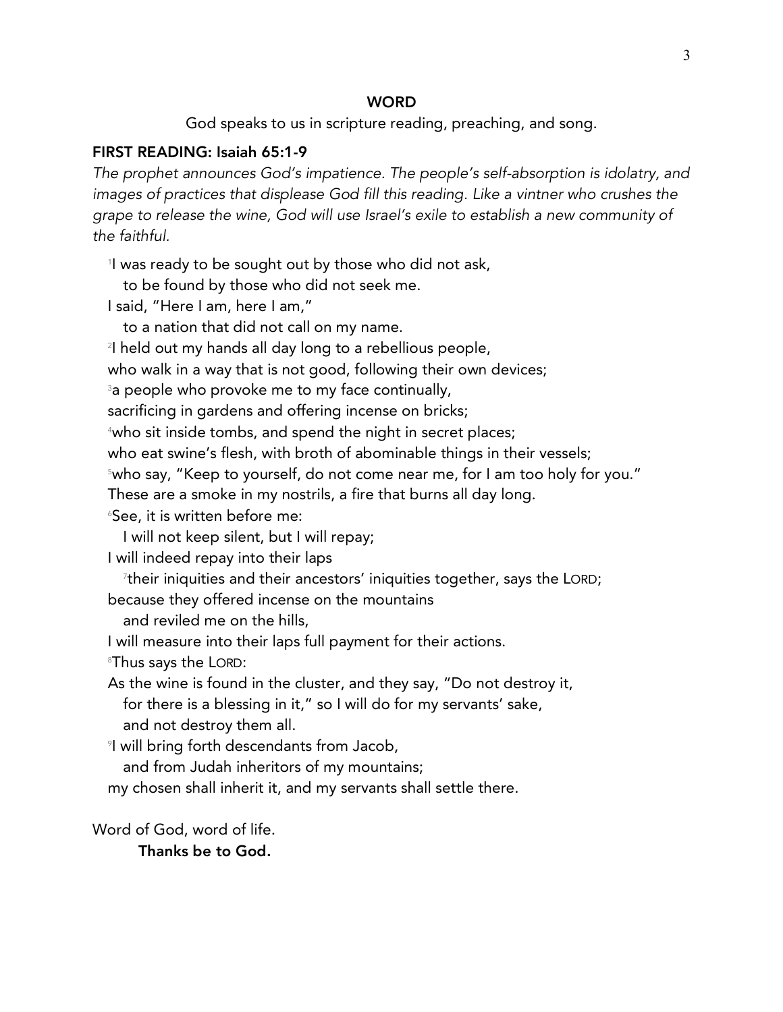#### **WORD**

God speaks to us in scripture reading, preaching, and song.

### FIRST READING: Isaiah 65:1-9

*The prophet announces God's impatience. The people's self-absorption is idolatry, and images of practices that displease God fill this reading. Like a vintner who crushes the grape to release the wine, God will use Israel's exile to establish a new community of the faithful.*

1 I was ready to be sought out by those who did not ask,

to be found by those who did not seek me.

I said, "Here I am, here I am,"

to a nation that did not call on my name.

2 I held out my hands all day long to a rebellious people,

who walk in a way that is not good, following their own devices;

 $^{\text{\tiny 3}}$ a people who provoke me to my face continually,

sacrificing in gardens and offering incense on bricks;

4 who sit inside tombs, and spend the night in secret places;

who eat swine's flesh, with broth of abominable things in their vessels;

5 who say, "Keep to yourself, do not come near me, for I am too holy for you."

These are a smoke in my nostrils, a fire that burns all day long.

 $^{\circ}$ See, it is written before me:

I will not keep silent, but I will repay;

I will indeed repay into their laps

 $^\text{\tiny{7}}$ their iniquities and their ancestors' iniquities together, says the LORD;

because they offered incense on the mountains

and reviled me on the hills,

I will measure into their laps full payment for their actions.

 $^{\circ}$ Thus says the LORD:

As the wine is found in the cluster, and they say, "Do not destroy it, for there is a blessing in it," so I will do for my servants' sake, and not destroy them all.

 $^\circ$ I will bring forth descendants from Jacob,

and from Judah inheritors of my mountains;

my chosen shall inherit it, and my servants shall settle there.

Word of God, word of life.

Thanks be to God.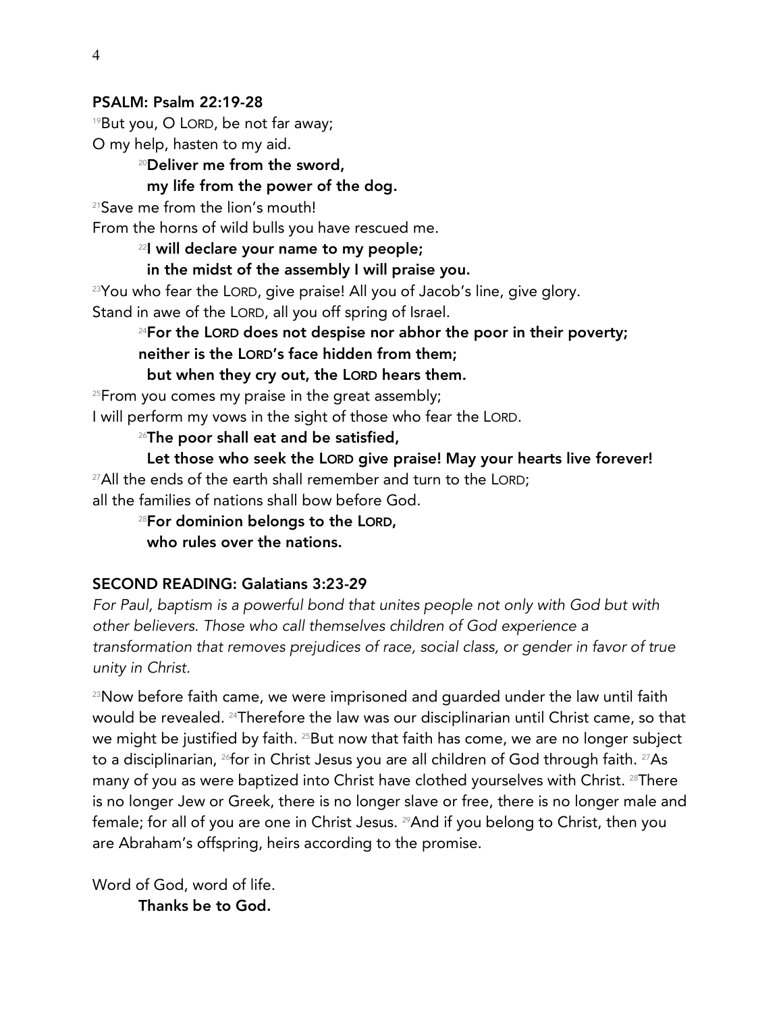### PSALM: Psalm 22:19-28

 $19$ But you, O LORD, be not far away;

O my help, hasten to my aid.

# <sup>20</sup>Deliver me from the sword,

## my life from the power of the dog.

<sup>21</sup>Save me from the lion's mouth!

From the horns of wild bulls you have rescued me.

<sup>22</sup>I will declare your name to my people;

in the midst of the assembly I will praise you.

 $23$ You who fear the LORD, give praise! All you of Jacob's line, give glory. Stand in awe of the LORD, all you off spring of Israel.

 $24$ For the LORD does not despise nor abhor the poor in their poverty; neither is the LORD's face hidden from them;

but when they cry out, the LORD hears them.

<sup>25</sup>From you comes my praise in the great assembly;

I will perform my vows in the sight of those who fear the LORD.

 $26$ The poor shall eat and be satisfied,

 Let those who seek the LORD give praise! May your hearts live forever!  $27$ All the ends of the earth shall remember and turn to the LORD; all the families of nations shall bow before God.

28For dominion belongs to the LORD, who rules over the nations.

### SECOND READING: Galatians 3:23-29

*For Paul, baptism is a powerful bond that unites people not only with God but with other believers. Those who call themselves children of God experience a transformation that removes prejudices of race, social class, or gender in favor of true unity in Christ.*

<sup>23</sup>Now before faith came, we were imprisoned and quarded under the law until faith would be revealed. 24Therefore the law was our disciplinarian until Christ came, so that we might be justified by faith. <sup>25</sup>But now that faith has come, we are no longer subject to a disciplinarian, <sup>26</sup>for in Christ Jesus you are all children of God through faith. <sup>27</sup>As many of you as were baptized into Christ have clothed yourselves with Christ. <sup>28</sup>There is no longer Jew or Greek, there is no longer slave or free, there is no longer male and female; for all of you are one in Christ Jesus. <sup>29</sup>And if you belong to Christ, then you are Abraham's offspring, heirs according to the promise.

Word of God, word of life. Thanks be to God.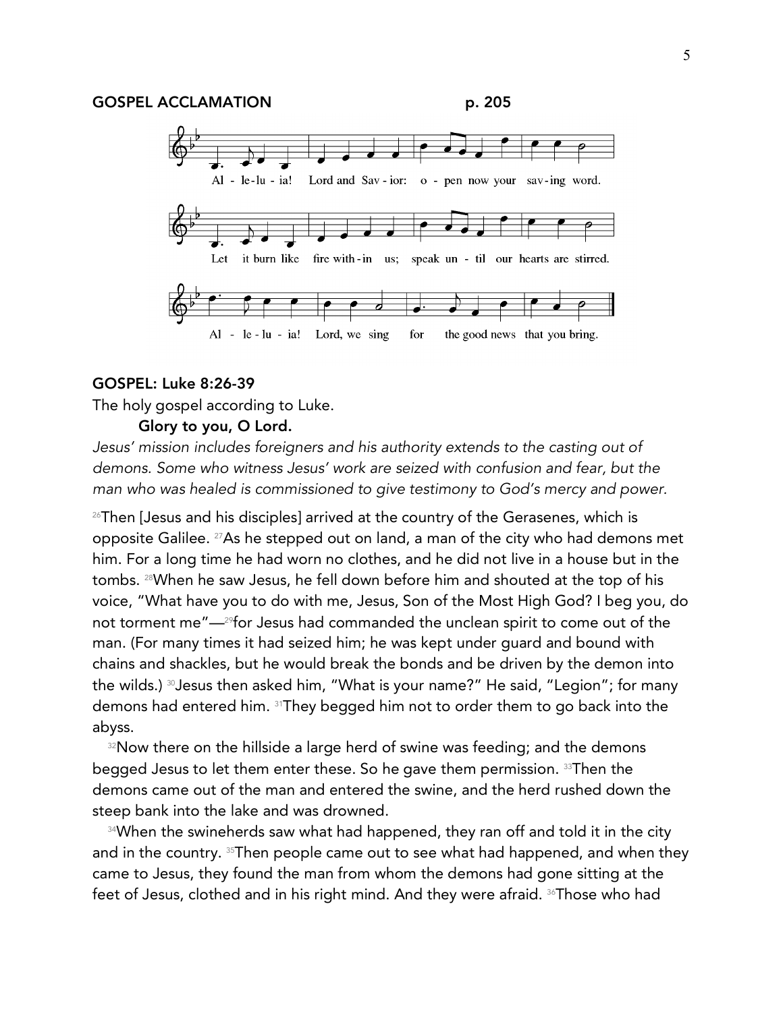

#### GOSPEL: Luke 8:26-39

The holy gospel according to Luke.

#### Glory to you, O Lord.

*Jesus' mission includes foreigners and his authority extends to the casting out of demons. Some who witness Jesus' work are seized with confusion and fear, but the man who was healed is commissioned to give testimony to God's mercy and power.*

<sup>26</sup>Then [Jesus and his disciples] arrived at the country of the Gerasenes, which is opposite Galilee. 27As he stepped out on land, a man of the city who had demons met him. For a long time he had worn no clothes, and he did not live in a house but in the tombs. 28When he saw Jesus, he fell down before him and shouted at the top of his voice, "What have you to do with me, Jesus, Son of the Most High God? I beg you, do not torment me"—29for Jesus had commanded the unclean spirit to come out of the man. (For many times it had seized him; he was kept under guard and bound with chains and shackles, but he would break the bonds and be driven by the demon into the wilds.) <sup>30</sup>Jesus then asked him, "What is your name?" He said, "Legion"; for many demons had entered him. 31They begged him not to order them to go back into the abyss.

32Now there on the hillside a large herd of swine was feeding; and the demons begged Jesus to let them enter these. So he gave them permission. 33Then the demons came out of the man and entered the swine, and the herd rushed down the steep bank into the lake and was drowned.

<sup>34</sup>When the swineherds saw what had happened, they ran off and told it in the city and in the country. <sup>35</sup>Then people came out to see what had happened, and when they came to Jesus, they found the man from whom the demons had gone sitting at the feet of Jesus, clothed and in his right mind. And they were afraid. <sup>36</sup>Those who had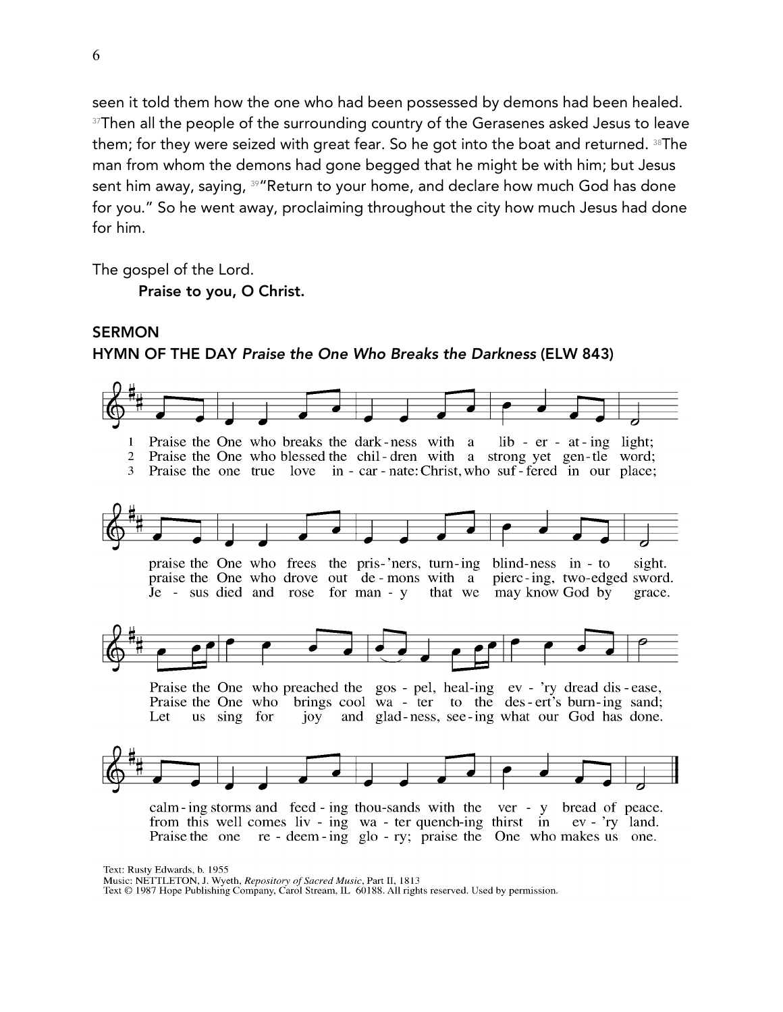seen it told them how the one who had been possessed by demons had been healed. <sup>37</sup>Then all the people of the surrounding country of the Gerasenes asked Jesus to leave them; for they were seized with great fear. So he got into the boat and returned. <sup>38</sup>The man from whom the demons had gone begged that he might be with him; but Jesus sent him away, saying, <sup>39</sup> "Return to your home, and declare how much God has done for you." So he went away, proclaiming throughout the city how much Jesus had done for him.

The gospel of the Lord.

Praise to you, O Christ.

# SERMON HYMN OF THE DAY *Praise the One Who Breaks the Darkness* (ELW 843)



Text: Rusty Edwards, b. 1955

Music: NETTLETON, J. Wyeth, Repository of Sacred Music, Part II, 1813

Text © 1987 Hope Publishing Company, Carol Stream, IL 60188. All rights reserved. Used by permission.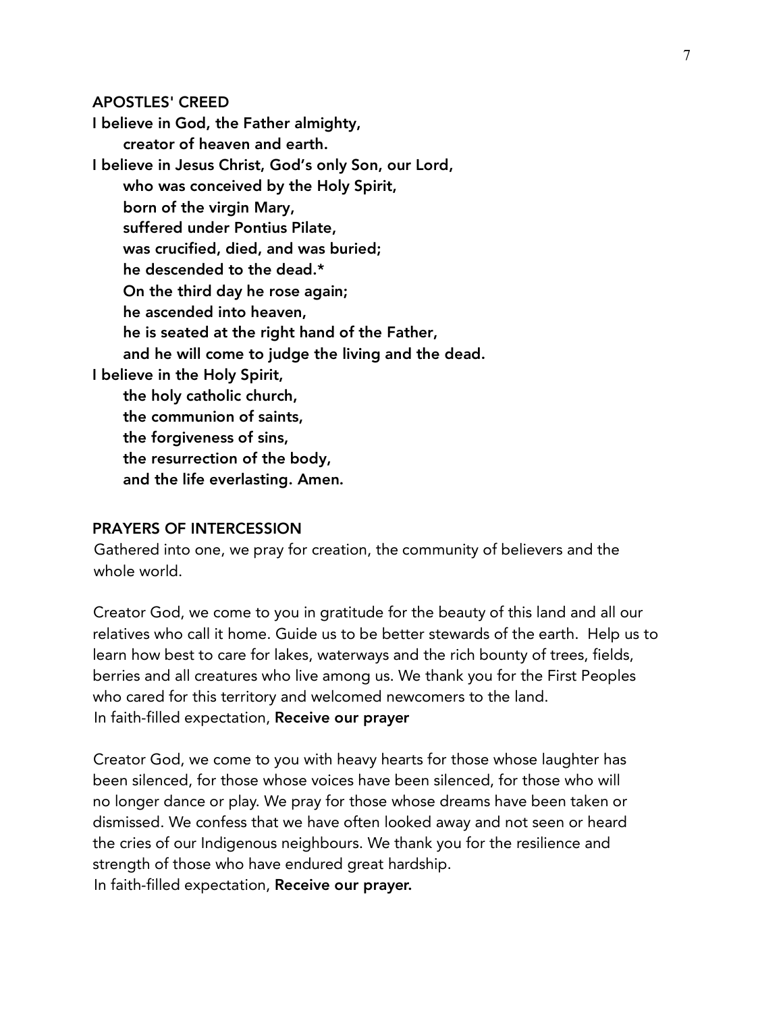#### APOSTLES' CREED

I believe in God, the Father almighty, creator of heaven and earth. I believe in Jesus Christ, God's only Son, our Lord, who was conceived by the Holy Spirit, born of the virgin Mary, suffered under Pontius Pilate, was crucified, died, and was buried; he descended to the dead.\* On the third day he rose again; he ascended into heaven, he is seated at the right hand of the Father, and he will come to judge the living and the dead. I believe in the Holy Spirit, the holy catholic church, the communion of saints, the forgiveness of sins, the resurrection of the body, and the life everlasting. Amen.

#### PRAYERS OF INTERCESSION

Gathered into one, we pray for creation, the community of believers and the whole world.

Creator God, we come to you in gratitude for the beauty of this land and all our relatives who call it home. Guide us to be better stewards of the earth. Help us to learn how best to care for lakes, waterways and the rich bounty of trees, fields, berries and all creatures who live among us. We thank you for the First Peoples who cared for this territory and welcomed newcomers to the land. In faith-filled expectation, Receive our prayer

Creator God, we come to you with heavy hearts for those whose laughter has been silenced, for those whose voices have been silenced, for those who will no longer dance or play. We pray for those whose dreams have been taken or dismissed. We confess that we have often looked away and not seen or heard the cries of our Indigenous neighbours. We thank you for the resilience and strength of those who have endured great hardship. In faith-filled expectation, Receive our prayer.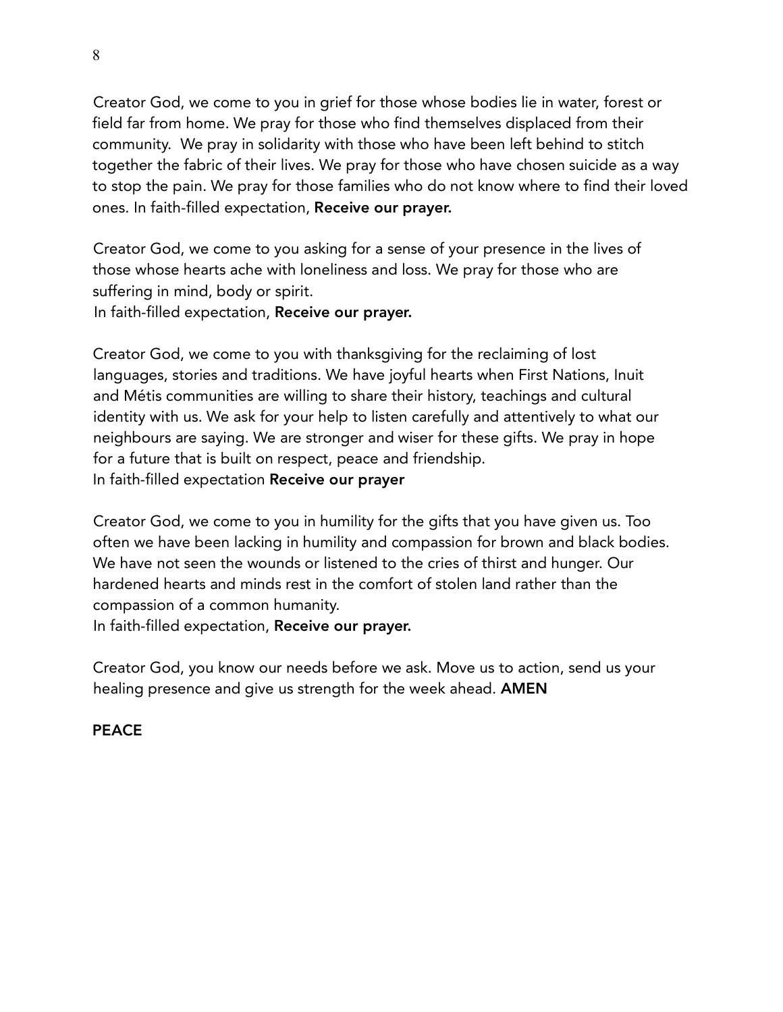Creator God, we come to you in grief for those whose bodies lie in water, forest or field far from home. We pray for those who find themselves displaced from their community. We pray in solidarity with those who have been left behind to stitch together the fabric of their lives. We pray for those who have chosen suicide as a way to stop the pain. We pray for those families who do not know where to find their loved ones. In faith-filled expectation, Receive our prayer.

Creator God, we come to you asking for a sense of your presence in the lives of those whose hearts ache with loneliness and loss. We pray for those who are suffering in mind, body or spirit.

In faith-filled expectation, Receive our prayer.

Creator God, we come to you with thanksgiving for the reclaiming of lost languages, stories and traditions. We have joyful hearts when First Nations, Inuit and Métis communities are willing to share their history, teachings and cultural identity with us. We ask for your help to listen carefully and attentively to what our neighbours are saying. We are stronger and wiser for these gifts. We pray in hope for a future that is built on respect, peace and friendship. In faith-filled expectation Receive our prayer

Creator God, we come to you in humility for the gifts that you have given us. Too often we have been lacking in humility and compassion for brown and black bodies. We have not seen the wounds or listened to the cries of thirst and hunger. Our hardened hearts and minds rest in the comfort of stolen land rather than the compassion of a common humanity.

In faith-filled expectation, Receive our prayer.

Creator God, you know our needs before we ask. Move us to action, send us your healing presence and give us strength for the week ahead. **AMEN** 

# PEACE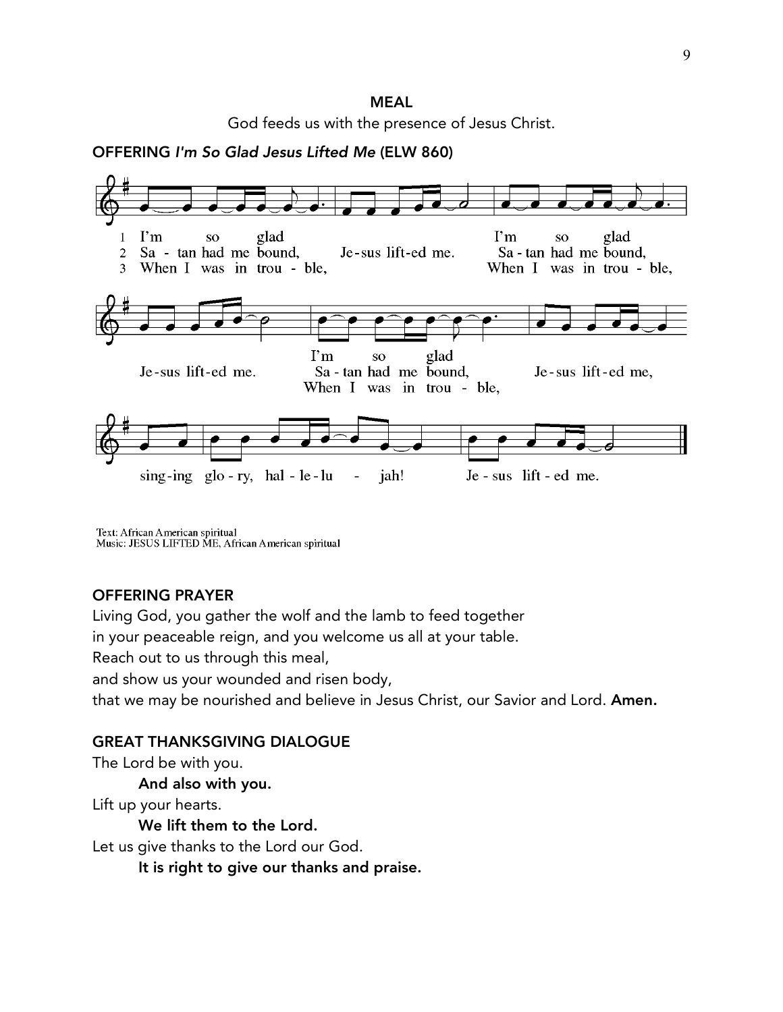## MEAL God feeds us with the presence of Jesus Christ.

OFFERING *I'm So Glad Jesus Lifted Me* (ELW 860)



Text: African American spiritual Music: JESUS LIFTED ME, African American spiritual

### OFFERING PRAYER

Living God, you gather the wolf and the lamb to feed together

in your peaceable reign, and you welcome us all at your table.

Reach out to us through this meal,

and show us your wounded and risen body,

that we may be nourished and believe in Jesus Christ, our Savior and Lord. Amen.

#### GREAT THANKSGIVING DIALOGUE

The Lord be with you.

And also with you.

Lift up your hearts.

We lift them to the Lord.

Let us give thanks to the Lord our God.

It is right to give our thanks and praise.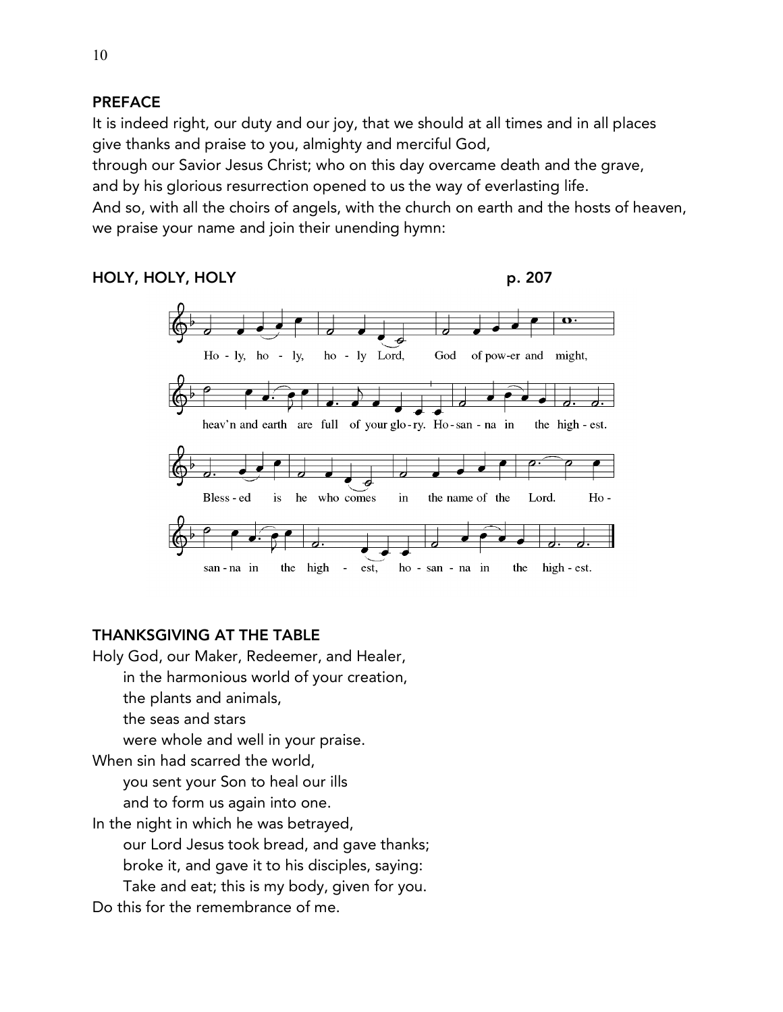# PREFACE

It is indeed right, our duty and our joy, that we should at all times and in all places give thanks and praise to you, almighty and merciful God,

through our Savior Jesus Christ; who on this day overcame death and the grave, and by his glorious resurrection opened to us the way of everlasting life.

And so, with all the choirs of angels, with the church on earth and the hosts of heaven, we praise your name and join their unending hymn:

## HOLY, HOLY, HOLY **p. 207**



### THANKSGIVING AT THE TABLE

Holy God, our Maker, Redeemer, and Healer,

- in the harmonious world of your creation,
- the plants and animals,
- the seas and stars

were whole and well in your praise.

When sin had scarred the world,

you sent your Son to heal our ills

and to form us again into one.

In the night in which he was betrayed,

our Lord Jesus took bread, and gave thanks;

broke it, and gave it to his disciples, saying:

Take and eat; this is my body, given for you.

Do this for the remembrance of me.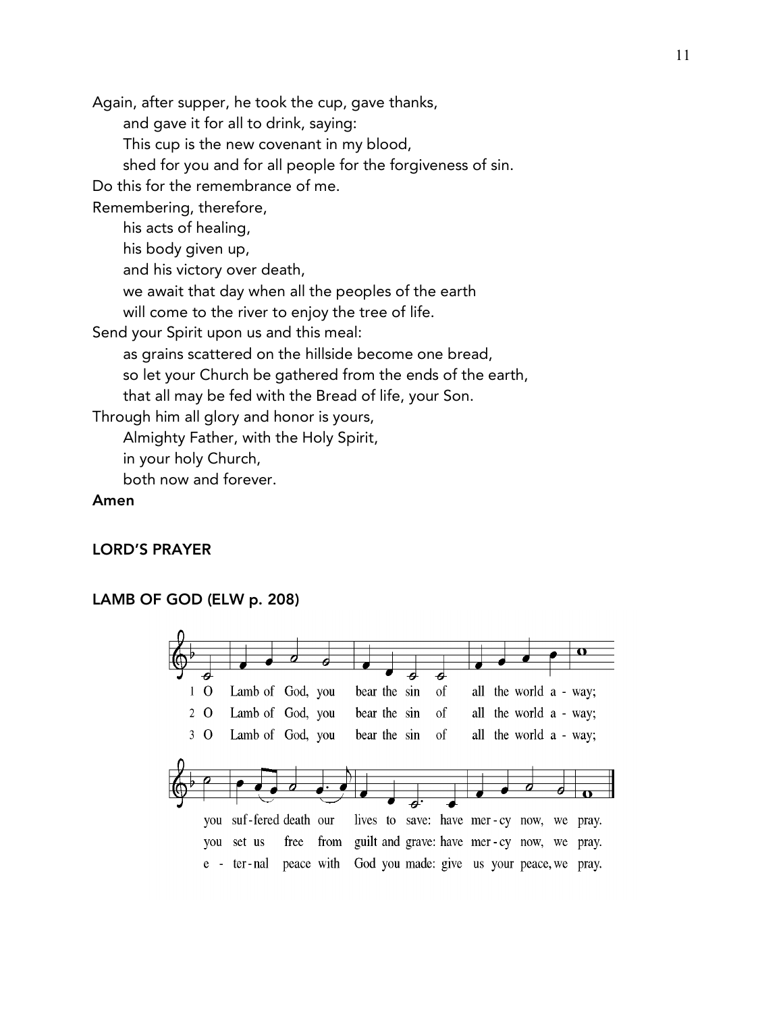Again, after supper, he took the cup, gave thanks,

and gave it for all to drink, saying:

This cup is the new covenant in my blood,

shed for you and for all people for the forgiveness of sin.

Do this for the remembrance of me.

Remembering, therefore,

his acts of healing,

his body given up,

and his victory over death,

we await that day when all the peoples of the earth

will come to the river to enjoy the tree of life.

Send your Spirit upon us and this meal:

as grains scattered on the hillside become one bread,

so let your Church be gathered from the ends of the earth,

that all may be fed with the Bread of life, your Son.

Through him all glory and honor is yours,

Almighty Father, with the Holy Spirit,

in your holy Church,

both now and forever.

#### Amen

#### LORD'S PRAYER

### LAMB OF GOD (ELW p. 208)

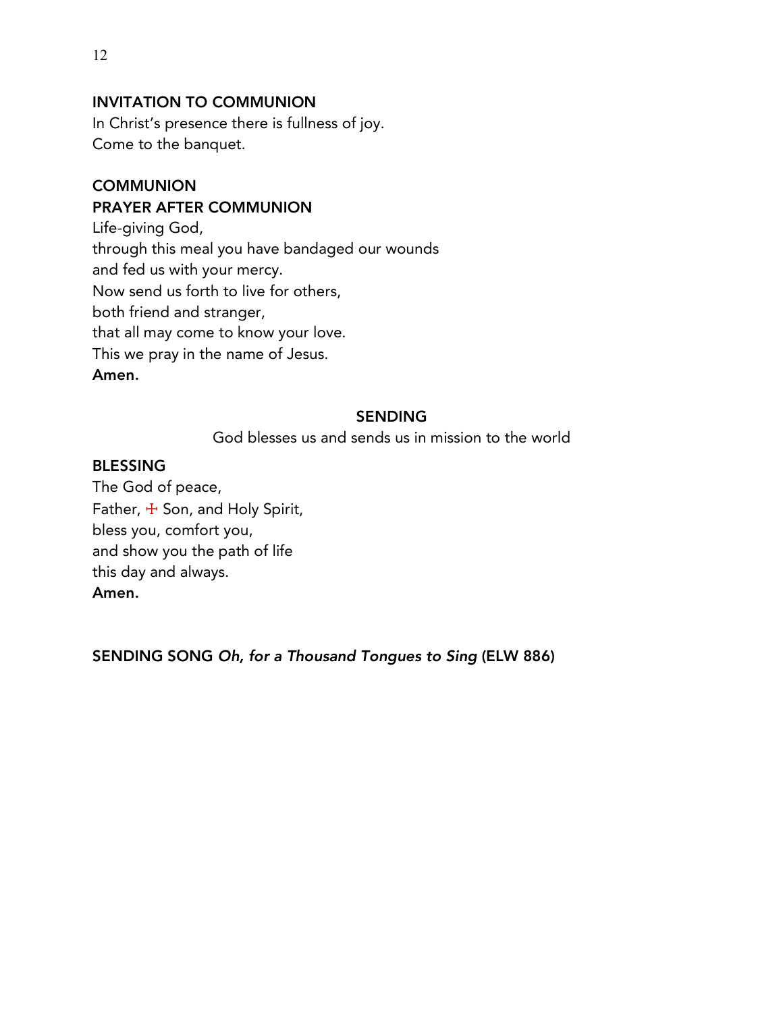# INVITATION TO COMMUNION

In Christ's presence there is fullness of joy. Come to the banquet.

## **COMMUNION** PRAYER AFTER COMMUNION

Life-giving God, through this meal you have bandaged our wounds and fed us with your mercy. Now send us forth to live for others, both friend and stranger, that all may come to know your love. This we pray in the name of Jesus. Amen.

## SENDING

God blesses us and sends us in mission to the world

### BLESSING

The God of peace, Father, + Son, and Holy Spirit, bless you, comfort you, and show you the path of life this day and always. Amen.

SENDING SONG *Oh, for a Thousand Tongues to Sing* (ELW 886)